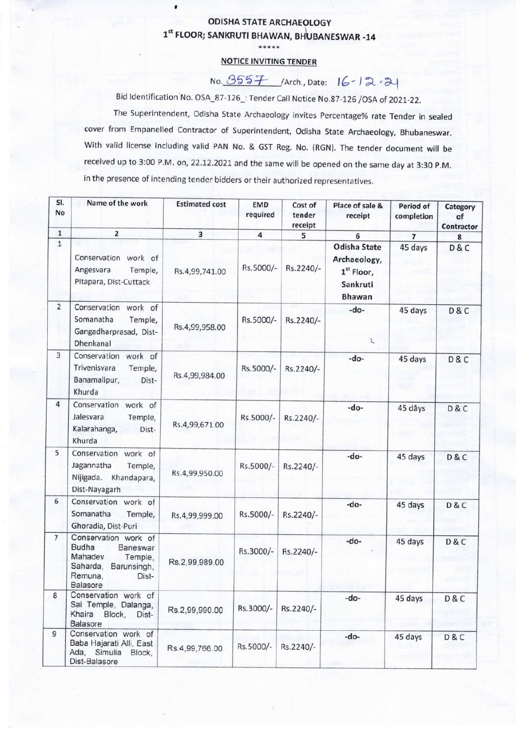## **ODISHA STATE ARCHAEOLOGY** 1" FLOOR; SANKRUTI BHAWAN, BHUBANESWAR -14

\*\*\*\*\*

## NOTICE INVITING TENDER

 $No. 3557$  /Arch., Date:  $16 - 12 - 34$ 

Bid Identification No. OSA\_87-126\_: Tender Call Notice No.87-126 /OSA of 2021-22.

The Superintendent, Odisha State Archaeology invites Percentage% rate Tender in sealed cover from Empanelled Contractor of Superintendent, Odisha State Archaeology, Bhubaneswar. With valid license including valid PAN No. & GST Reg. No. (RGN). The tender document will be received up to 3:00 P.M. on, 22.12.2021 and the same will be opened on the same day at 3:30 P.M. in the presence of intending tender bidders or their authorized representatives.

| SI.<br>No       | Name of the work                                                                                                                  | <b>Estimated cost</b> | <b>EMD</b><br>required | Cost of<br>tender<br>receipt | Place of sale &<br>receipt                                                   | Period of<br>completion | Category<br>of<br>Contractor |
|-----------------|-----------------------------------------------------------------------------------------------------------------------------------|-----------------------|------------------------|------------------------------|------------------------------------------------------------------------------|-------------------------|------------------------------|
| $\mathbf 1$     | $\overline{\mathbf{2}}$                                                                                                           | 3                     | $\overline{4}$         | 5                            | 6                                                                            | $\overline{7}$          | 8                            |
| $\overline{1}$  | Conservation work of<br>Angesvara<br>Temple,<br>Pitapara, Dist-Cuttack                                                            | Rs.4,99,741.00        | Rs.5000/-              | Rs.2240/-                    | Odisha State<br>Archaeology,<br>1 <sup>st</sup> Floor,<br>Sankruti<br>Bhawan | 45 days                 | D&C                          |
| $\overline{2}$  | Conservation<br>work of<br>Somanatha<br>Temple,<br>Gangadharprasad, Dist-<br>Dhenkanal                                            | Rs.4,99,958.00        | Rs.5000/-              | Rs.2240/-                    | -do-<br>ι                                                                    | 45 days                 | D&C                          |
| 3               | Conservation work of<br>Trivenisvara<br>Temple,<br>Banamalipur,<br>Dist-<br>Khurda                                                | Rs.4,99,984.00        | Rs.5000/-              | Rs.2240/-                    | -do-                                                                         | 45 days                 | D&C                          |
| $\overline{4}$  | Conservation work of<br>Jalesvara<br>Temple,<br>Kalarahanga,<br>Dist-<br>Khurda                                                   | Rs.4,99,671.00        | Rs.5000/-              | Rs.2240/-                    | -do-                                                                         | 45 dàys                 | D & C                        |
| 5               | Conservation work of<br>Jagannatha<br>Temple,<br>Nijigada.<br>Khandapara,<br>Dist-Nayagarh                                        | Rs.4,99,950.00        | Rs.5000/-              | Rs.2240/-                    | -do-                                                                         | 45 days                 | D&C                          |
| 6               | Conservation work of<br>Somanatha<br>Temple,<br>Ghoradia, Dist-Puri                                                               | Rs.4,99,999.00        | Rs.5000/-              | Rs.2240/-                    | -do-                                                                         | 45 days                 | D&C                          |
| $7\overline{ }$ | Conservation work of<br><b>Budha</b><br>Baneswar<br>Mahadev<br>Temple,<br>Saharda,<br>Barunsingh,<br>Remuna,<br>Dist-<br>Balasore | Rs.2,99,989.00        | Rs.3000/-              | Rs.2240/-                    | -do-                                                                         | 45 days                 | D & C                        |
| 8               | Conservation work of<br>Sai Temple, Dalanga,<br>Khaira Block,<br>Dist-<br><b>Balasore</b>                                         | Rs.2,99,990.00        | Rs.3000/-              | Rs.2240/-                    | -do-                                                                         | 45 days                 | D&C                          |
| 9               | Conservation work of<br>Baba Hajarati Alli, East<br>Ada, Simulia Block,<br>Dist-Balasore                                          | Rs.4,99,766.00        | Rs.5000/-              | Rs.2240/-                    | -do-                                                                         | 45 days                 | D&C                          |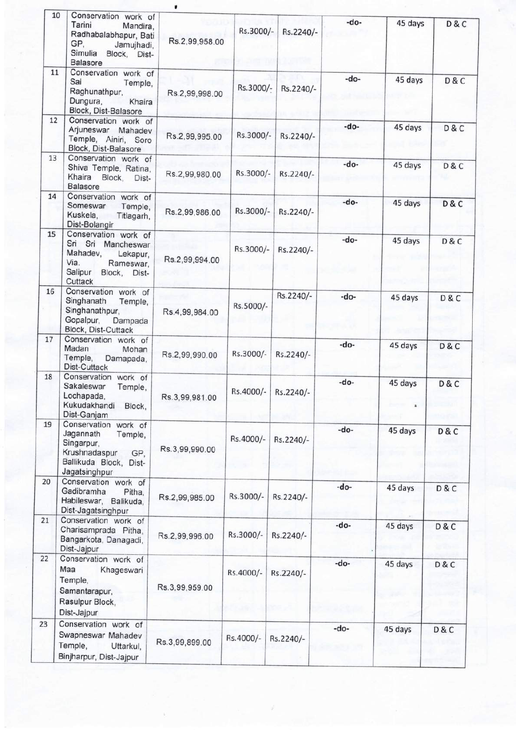|    | 10<br>Conservation work of<br>Tarini<br>Mandira,<br>Radhabalabhapur, Bati<br>GP,<br>Jamujhadi,<br>Simulia Block, Dist-<br><b>Balasore</b> | Rs.2,99,958.00 | Rs.3000/- | Rs.2240/-       | -do-   | 45 days      | D&C   |
|----|-------------------------------------------------------------------------------------------------------------------------------------------|----------------|-----------|-----------------|--------|--------------|-------|
| 11 | Conservation work of<br>Sai<br>Temple,<br>Raghunathpur,<br>Dungura,<br>Khaira<br>Block, Dist-Balasore                                     | Rs.2,99,998.00 | Rs.3000/- | Rs.2240/-       | -do-   | 45 days      | D & C |
| 12 | Conservation work of<br>Arjuneswar Mahadev<br>Temple, Ainiri, Soro<br>Block, Dist-Balasore                                                | Rs.2,99,995.00 | Rs.3000/- | Rs.2240/-       | -do-   | 45 days      | D&C   |
| 13 | Conservation work of<br>Shiva Temple, Ratina,<br>Khaira<br>Block,<br>Dist-<br><b>Balasore</b>                                             | Rs.2,99,980.00 | Rs.3000/- | Rs.2240/-       | $-do-$ | 45 days      | D & C |
| 14 | Conservation work of<br>Someswar<br>Temple,<br>Kuskela,<br>Titlagarh,<br>Dist-Bolangir                                                    | Rs.2,99,986.00 | Rs.3000/- | Rs.2240/-       | -do-   | 45 days      | D & C |
| 15 | Conservation work of<br>Sri Sri Mancheswar<br>Mahadev,<br>Lekapur.<br>Via.<br>Rameswar,<br>Salipur Block, Dist-<br>Cuttack                | Rs.2,99,994.00 | Rs.3000/- | Rs.2240/-       | $-do-$ | 45 days      | D&C   |
| 16 | Conservation work of<br>Singhanath<br>Temple,<br>Singhanathpur,<br>Gopalpur,<br>Dampada<br>Block, Dist-Cuttack                            | Rs.4,99,984.00 | Rs.5000/- | Rs.2240/-       | -do-   | 45 days      | D & C |
| 17 | Conservation work of<br>Madan<br>Mohan<br>Temple,<br>Damapada,<br>Dist-Cuttack                                                            | Rs.2,99,990.00 | Rs.3000/- | Rs.2240/-       | $-do-$ | 45 days      | D & C |
| 18 | Conservation work of<br>Sakaleswar<br>Temple,<br>Lochapada,<br>Kukudakhandi<br>Block,<br>Dist-Ganjam                                      | Rs.3,99,981.00 | Rs.4000/- | Rs.2240/-       | -do-   | 45 days<br>à | D&C   |
| 19 | Conservation work of<br>Jagannath<br>Temple,<br>Singarpur,<br>Krushnadaspur<br>GP,<br>Ballikuda Block, Dist-<br>Jagatsinghpur             | Rs.3,99,990.00 | Rs.4000/- | Rs.2240/-       | -do-   | 45 days      | D&C   |
| 20 | Conservation work of<br>Gadibramha<br>Pitha,<br>Habileswar, Balikuda,<br>Dist-Jagatsinghpur                                               | Rs.2,99,985.00 | Rs.3000/- | Rs.2240/-       | -do-   | 45 days      | D & C |
| 21 | Conservation work of<br>Charisamprada Pitha,<br>Bangarkota, Danagadi,<br>Dist-Jajpur                                                      | Rs.2,99,996.00 | Rs.3000/- | Rs.2240/-       | -do-   | 45 days      | D & C |
| 22 | Conservation work of<br>Maa<br>Khageswari<br>Temple,<br>Samantarapur,<br>Rasulpur Block,<br>Dist-Jajpur                                   | Rs.3,99,959.00 | Rs.4000/- | Rs.2240/-<br>Y) | -do-   | 45 days      | D & C |
| 23 | Conservation work of<br>Swapneswar Mahadev<br>Temple,<br>Uttarkul,<br>Binjharpur, Dist-Jajpur                                             | Rs.3,99,899.00 | Rs.4000/- | Rs.2240/-       | -do-   | 45 days      | D & C |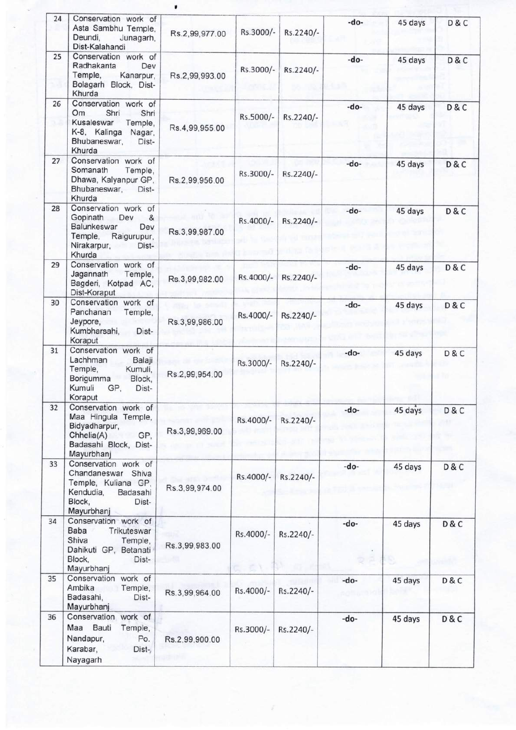| 24 | Conservation work of<br>Asta Sambhu Temple,<br>Deundi,<br>Junagarh,<br>Dist-Kalahandi                                                 | Rs.2,99,977.00 | Rs.3000/- | Rs.2240/- | -do-   | 45 days | D&C   |
|----|---------------------------------------------------------------------------------------------------------------------------------------|----------------|-----------|-----------|--------|---------|-------|
| 25 | Conservation work of<br>Radhakanta<br>Dev<br>Temple,<br>Kanarpur,<br>Bolagarh Block, Dist-<br>Khurda                                  | Rs.2,99,993.00 | Rs.3000/- | Rs.2240/- | -do-   | 45 days | D&C   |
| 26 | Conservation work of<br>Shri<br>Om<br>Shri<br>Kusaleswar<br>Temple,<br>K-8, Kalinga<br>Nagar,<br>Bhubaneswar,<br>Dist-<br>Khurda      | Rs.4,99,955.00 | Rs.5000/- | Rs.2240/- | $-do-$ | 45 days | D & C |
| 27 | Conservation work of<br>Somanath<br>Temple,<br>Dhawa, Kalyanpur GP,<br>Bhubaneswar,<br>Dist-<br>Khurda                                | Rs.2,99,956.00 | Rs.3000/- | Rs.2240/- | -do-   | 45 days | D & C |
| 28 | Conservation work of<br>Gopinath<br>&<br>Dev<br><b>Balunkeswar</b><br>Dev<br>Temple,<br>Raigurupur,<br>Nirakarpur,<br>Dist-<br>Khurda | Rs.3,99,987.00 | Rs.4000/- | Rs.2240/- | -do-   | 45 days | D&C   |
| 29 | Conservation work of<br>Jagannath<br>Temple,<br>Bagderi, Kotpad AC,<br>Dist-Koraput                                                   | Rs.3,99,982.00 | Rs.4000/- | Rs.2240/- | $-do-$ | 45 days | D&C   |
| 30 | Conservation work of<br>Panchanan<br>Temple,<br>Jeypore,<br>Kumbharsahi,<br>Dist-<br>Koraput                                          | Rs.3,99,986.00 | Rs.4000/- | Rs.2240/- | -do-   | 45 days | D&C   |
| 31 | Conservation work of<br>Lachhman<br>Balaji<br>Temple,<br>Kumuli,<br>Borigumma<br>Block,<br>Kumuli<br>GP,<br>Dist-<br>Koraput          | Rs.2,99,954.00 | Rs.3000/- | Rs.2240/- | -do-   | 45 days | D&C   |
| 32 | Conservation work of<br>Maa Hingula Temple,<br>Bidyadharpur,<br>Chhelia(A)<br>GP,<br>Badasahi Block, Dist-<br>Mayurbhanj              | Rs.3,99,969.00 | Rs.4000/- | Rs.2240/- | -do-   | 45 days | D&C   |
| 33 | Conservation work of<br>Chandaneswar Shiva<br>Temple, Kuliana GP,<br>Kendudia,<br>Badasahi<br>Block,<br>Dist-<br>Mayurbhanj           | Rs.3,99,974.00 | Rs.4000/- | Rs.2240/- | -do-   | 45 days | D&C   |
| 34 | Conservation work of<br>Baba<br>Trikuteswar<br>Shiva<br>Temple,<br>Dahikuti GP, Betanati<br>Block,<br>Dist-<br>Mayurbhanj             | Rs.3,99,983.00 | Rs.4000/- | Rs.2240/- | -do-   | 45 days | D&C   |
| 35 | Conservation work of<br>Ambika<br>Temple,<br>Badasahi,<br>Dist-<br>Mayurbhanj                                                         | Rs.3,99,964.00 | Rs.4000/- | Rs.2240/- | -do-   | 45 days | D&C   |
| 36 | Conservation<br>work of<br>Maa Bauti<br>Temple,<br>Nandapur,<br>Po.<br>Karabar,<br>Dist-<br>Nayagarh                                  | Rs.2,99,900.00 | Rs.3000/- | Rs.2240/- | -do-   | 45 days | D&C   |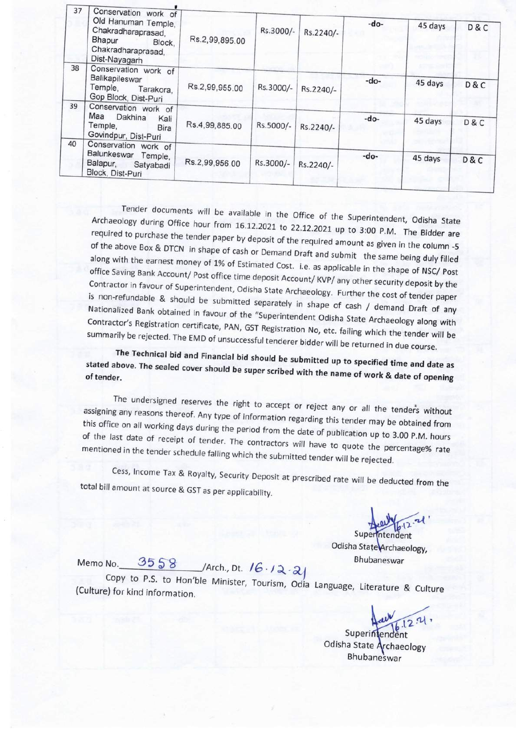| 37 | Conservation work of<br>Old Hanuman Temple,<br>Chakradharaprasad,<br>Bhapur<br>Block.<br>Chakradharaprasad,<br>Dist-Nayagarh | Rs.2,99,895.00 | Rs.3000/- | Rs.2240/- | -do-   | 45 days | D & C |
|----|------------------------------------------------------------------------------------------------------------------------------|----------------|-----------|-----------|--------|---------|-------|
| 38 | Conservation work of<br>Balikapileswar<br>Temple,<br>Tarakora,<br>Gop Block, Dist-Puri                                       | Rs.2,99,955.00 | Rs.3000/- | Rs.2240/- | -do-   | 45 days | D&C   |
| 39 | Conservation work of<br>Maa Dakhina<br>Kali<br>Temple,<br><b>Bira</b><br>Govindpur, Dist-Puri                                | Rs.4,99,885.00 | Rs.5000/- | Rs.2240/- | -do-   | 45 days | D & C |
| 40 | Conservation work of<br>Balunkeswar<br>Temple,<br>Balapur,<br>Satyabadi<br>Block, Dist-Puri                                  | Rs.2,99,956.00 | Rs.3000/- | Rs.2240/- | $-do-$ | 45 days | D&C   |

Tender documents will be available in the Office of the Superintendent, Odisha State Archaeology during Office hour from 16.12.2021 to 20.12.2021 the Superintendent, Odisha State required to purchase the tender paper by depth  $\frac{1}{2}$ . The Bidder and  $\frac{1}{2}$ . The Bidder are required to purchase the tender paper by deposit of the required amount as given in the column -5 of the above Box & DTCN in shape of cash or Demand Draft and submit the same being duly filled along with the earnest money of 1% of Estimated Cost. i.e. as applicable in the shape of NSC/ Post office Saving Bank Account/ Post office time deposit Account/ KVP/ any other security deposit by the Contractor in favour of Superintendent, Odisha State Archaeology. Further the cost of tender paper is non-refundable & should be submitted separately in shape of cash / demand Draft of any Nationalized Bank obtained in favour of the "Superintendent Odisha State Archaeology along with Contractor's Registration certificate, PAN, GST Registration No, etc. failing which the tender will be summarily be rejected. The EMD of unsuccessful tenderer bidder will be returned in due course.

The Technical bid and Financial bid should be submitted up to specified time and date as stated above. The sealed cover should be submitted up to specified time and date as of tender.

The undersigned reserves the right to accept or reject any or all the tenders without assigning any reasons thereof. Any two of i.e. for accept or reject any or all the tenders without this office on all working days during the section of regarding this tender may be obtained from this office on all working days during the period from the date of publication up to 3.00 P.M. hours of the last date of receipt of tender. The contractors will have to quote the percentage% rate<br>mentioned in the tender schedule falling which the submitted tender will be rejected.

Cess, Income Tax & Royalty, Security Deposit at prescribed rate will be deducted from the total bill amount at source & GST as per applicability.

Superintendent

Odisha State Archaeology,<br>Memo No. 3558 /Arch., Dt. 16 · 12 · 21

Copy to P.S. to Hon'ble Minister, Tourism, Odia Language, Literature & Culture (Culture) for kind information

Superintendent

Odisha State Archaeology **Bhubaneswar**